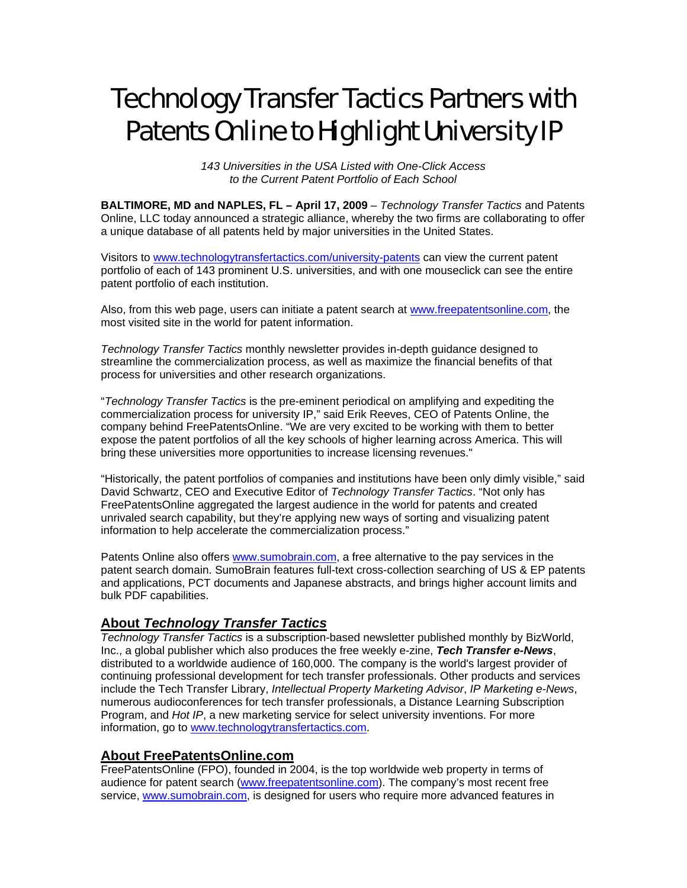# Technology Transfer Tactics Partners with Patents Online to Highlight University IP

*143 Universities in the USA Listed with One-Click Access to the Current Patent Portfolio of Each School*

**BALTIMORE, MD and NAPLES, FL – April 17, 2009** – *Technology Transfer Tactics* and Patents Online, LLC today announced a strategic alliance, whereby the two firms are collaborating to offer a unique database of all patents held by major universities in the United States.

Visitors to [www.technologytransfertactics.com/university-patents](http://www.technologytransfertactics.com/university-patents) can view the current patent portfolio of each of 143 prominent U.S. universities, and with one mouseclick can see the entire patent portfolio of each institution.

Also, from this web page, users can initiate a patent search at [www.freepatentsonline.com,](http://www.freepatentsonline.com/) the most visited site in the world for patent information.

*Technology Transfer Tactics* monthly newsletter provides in-depth guidance designed to streamline the commercialization process, as well as maximize the financial benefits of that process for universities and other research organizations.

"*Technology Transfer Tactics* is the pre-eminent periodical on amplifying and expediting the commercialization process for university IP," said Erik Reeves, CEO of Patents Online, the company behind FreePatentsOnline. "We are very excited to be working with them to better expose the patent portfolios of all the key schools of higher learning across America. This will bring these universities more opportunities to increase licensing revenues."

"Historically, the patent portfolios of companies and institutions have been only dimly visible," said David Schwartz, CEO and Executive Editor of *Technology Transfer Tactics*. "Not only has FreePatentsOnline aggregated the largest audience in the world for patents and created unrivaled search capability, but they're applying new ways of sorting and visualizing patent information to help accelerate the commercialization process."

Patents Online also offers [www.sumobrain.com](http://www.sumobrain.com/), a free alternative to the pay services in the patent search domain. SumoBrain features full-text cross-collection searching of US & EP patents and applications, PCT documents and Japanese abstracts, and brings higher account limits and bulk PDF capabilities.

# **About** *Technology Transfer Tactics*

*Technology Transfer Tactics* is a subscription-based newsletter published monthly by BizWorld, Inc., a global publisher which also produces the free weekly e-zine, *Tech Transfer e-News*, distributed to a worldwide audience of 160,000. The company is the world's largest provider of continuing professional development for tech transfer professionals. Other products and services include the Tech Transfer Library, *Intellectual Property Marketing Advisor*, *IP Marketing e-News*, numerous audioconferences for tech transfer professionals, a Distance Learning Subscription Program, and *Hot IP*, a new marketing service for select university inventions. For more information, go to [www.technologytransfertactics.com.](http://www.technologytransfertactics.com/)

## **About FreePatentsOnline.com**

FreePatentsOnline (FPO), founded in 2004, is the top worldwide web property in terms of audience for patent search ([www.freepatentsonline.com](http://www.freepatentsonline.com/)). The company's most recent free service, [www.sumobrain.com](http://www.sumobrain.com/), is designed for users who require more advanced features in